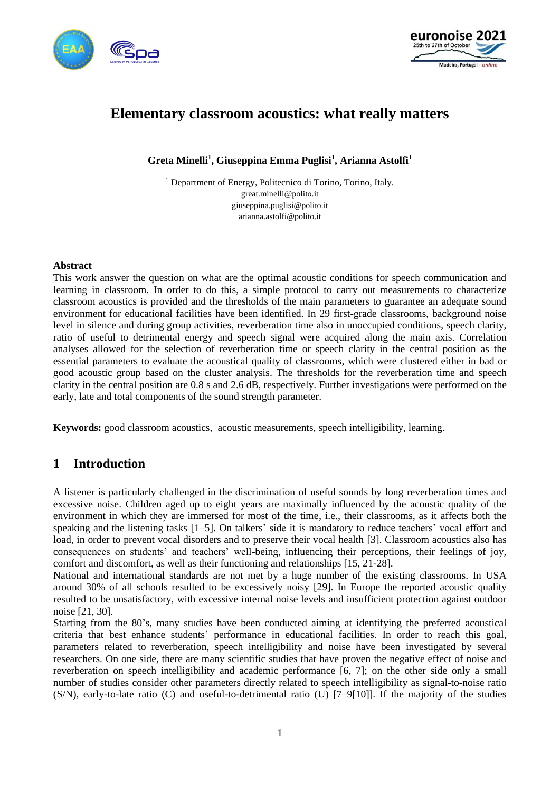



# **Elementary classroom acoustics: what really matters**

**Greta Minelli<sup>1</sup> , Giuseppina Emma Puglisi<sup>1</sup> , Arianna Astolfi<sup>1</sup>**

<sup>1</sup> Department of Energy, Politecnico di Torino, Torino, Italy. great.minelli@polito.it giuseppina.puglisi@polito.it arianna.astolfi@polito.it

#### **Abstract**

This work answer the question on what are the optimal acoustic conditions for speech communication and learning in classroom. In order to do this, a simple protocol to carry out measurements to characterize classroom acoustics is provided and the thresholds of the main parameters to guarantee an adequate sound environment for educational facilities have been identified. In 29 first-grade classrooms, background noise level in silence and during group activities, reverberation time also in unoccupied conditions, speech clarity, ratio of useful to detrimental energy and speech signal were acquired along the main axis. Correlation analyses allowed for the selection of reverberation time or speech clarity in the central position as the essential parameters to evaluate the acoustical quality of classrooms, which were clustered either in bad or good acoustic group based on the cluster analysis. The thresholds for the reverberation time and speech clarity in the central position are 0.8 s and 2.6 dB, respectively. Further investigations were performed on the early, late and total components of the sound strength parameter.

**Keywords:** good classroom acoustics, acoustic measurements, speech intelligibility, learning.

# **1 Introduction**

A listener is particularly challenged in the discrimination of useful sounds by long reverberation times and excessive noise. Children aged up to eight years are maximally influenced by the acoustic quality of the environment in which they are immersed for most of the time, i.e., their classrooms, as it affects both the speaking and the listening tasks [1–5]. On talkers' side it is mandatory to reduce teachers' vocal effort and load, in order to prevent vocal disorders and to preserve their vocal health [3]. Classroom acoustics also has consequences on students' and teachers' well-being, influencing their perceptions, their feelings of joy, comfort and discomfort, as well as their functioning and relationships [15, 21-28].

National and international standards are not met by a huge number of the existing classrooms. In USA around 30% of all schools resulted to be excessively noisy [29]. In Europe the reported acoustic quality resulted to be unsatisfactory, with excessive internal noise levels and insufficient protection against outdoor noise [21, 30].

Starting from the 80's, many studies have been conducted aiming at identifying the preferred acoustical criteria that best enhance students' performance in educational facilities. In order to reach this goal, parameters related to reverberation, speech intelligibility and noise have been investigated by several researchers. On one side, there are many scientific studies that have proven the negative effect of noise and reverberation on speech intelligibility and academic performance [6, 7]; on the other side only a small number of studies consider other parameters directly related to speech intelligibility as signal-to-noise ratio (S/N), early-to-late ratio (C) and useful-to-detrimental ratio (U) [7–9[10]]. If the majority of the studies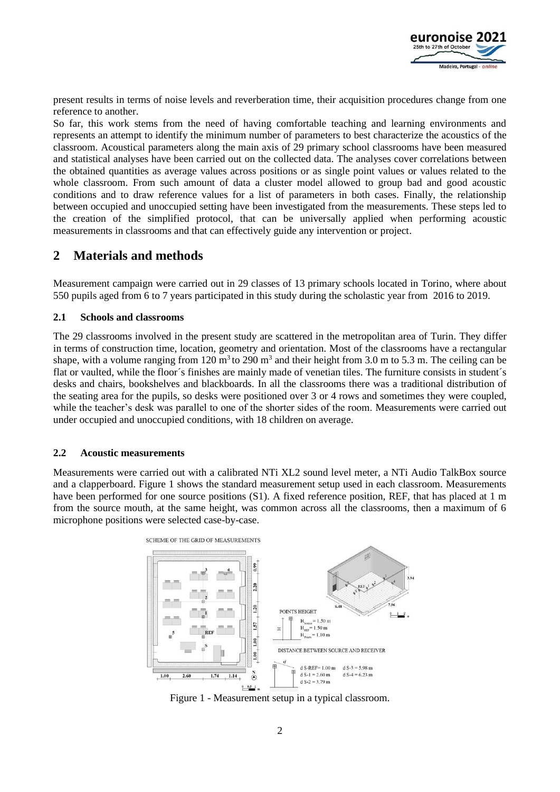

present results in terms of noise levels and reverberation time, their acquisition procedures change from one reference to another.

So far, this work stems from the need of having comfortable teaching and learning environments and represents an attempt to identify the minimum number of parameters to best characterize the acoustics of the classroom. Acoustical parameters along the main axis of 29 primary school classrooms have been measured and statistical analyses have been carried out on the collected data. The analyses cover correlations between the obtained quantities as average values across positions or as single point values or values related to the whole classroom. From such amount of data a cluster model allowed to group bad and good acoustic conditions and to draw reference values for a list of parameters in both cases. Finally, the relationship between occupied and unoccupied setting have been investigated from the measurements. These steps led to the creation of the simplified protocol, that can be universally applied when performing acoustic measurements in classrooms and that can effectively guide any intervention or project.

# **2 Materials and methods**

Measurement campaign were carried out in 29 classes of 13 primary schools located in Torino, where about 550 pupils aged from 6 to 7 years participated in this study during the scholastic year from 2016 to 2019.

### **2.1 Schools and classrooms**

The 29 classrooms involved in the present study are scattered in the metropolitan area of Turin. They differ in terms of construction time, location, geometry and orientation. Most of the classrooms have a rectangular shape, with a volume ranging from 120  $m<sup>3</sup>$  to 290  $m<sup>3</sup>$  and their height from 3.0 m to 5.3 m. The ceiling can be flat or vaulted, while the floor´s finishes are mainly made of venetian tiles. The furniture consists in student´s desks and chairs, bookshelves and blackboards. In all the classrooms there was a traditional distribution of the seating area for the pupils, so desks were positioned over 3 or 4 rows and sometimes they were coupled, while the teacher's desk was parallel to one of the shorter sides of the room. Measurements were carried out under occupied and unoccupied conditions, with 18 children on average.

#### **2.2 Acoustic measurements**

Measurements were carried out with a calibrated NTi XL2 sound level meter, a NTi Audio TalkBox source and a clapperboard. Figure 1 shows the standard measurement setup used in each classroom. Measurements have been performed for one source positions (S1). A fixed reference position, REF, that has placed at 1 m from the source mouth, at the same height, was common across all the classrooms, then a maximum of 6 microphone positions were selected case-by-case.



Figure 1 - Measurement setup in a typical classroom.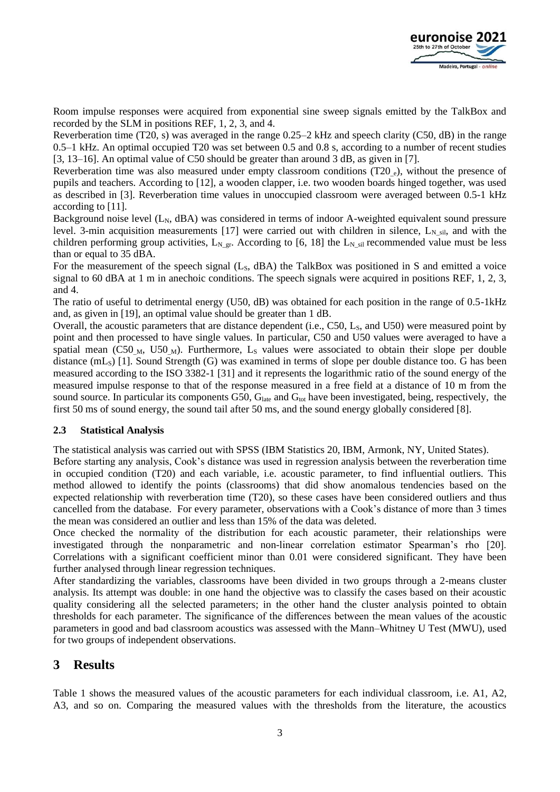Room impulse responses were acquired from exponential sine sweep signals emitted by the TalkBox and recorded by the SLM in positions REF, 1, 2, 3, and 4.

Reverberation time (T20, s) was averaged in the range 0.25–2 kHz and speech clarity (C50, dB) in the range 0.5–1 kHz. An optimal occupied T20 was set between 0.5 and 0.8 s, according to a number of recent studies [3, 13–16]. An optimal value of C50 should be greater than around 3 dB, as given in [7].

Reverberation time was also measured under empty classroom conditions (T20 e), without the presence of pupils and teachers. According to [12], a wooden clapper, i.e. two wooden boards hinged together, was used as described in [3]. Reverberation time values in unoccupied classroom were averaged between 0.5-1 kHz according to [11].

Background noise level  $(L_N, dBA)$  was considered in terms of indoor A-weighted equivalent sound pressure level. 3-min acquisition measurements [17] were carried out with children in silence,  $L_{N\_sil}$ , and with the children performing group activities,  $L_N_{gr.}$  According to [6, 18] the  $L_N_{si}$  recommended value must be less than or equal to 35 dBA.

For the measurement of the speech signal (L<sub>s</sub>, dBA) the TalkBox was positioned in S and emitted a voice signal to 60 dBA at 1 m in anechoic conditions. The speech signals were acquired in positions REF, 1, 2, 3, and 4.

The ratio of useful to detrimental energy (U50, dB) was obtained for each position in the range of 0.5-1kHz and, as given in [19], an optimal value should be greater than 1 dB.

Overall, the acoustic parameters that are distance dependent (i.e., C50, L<sub>S</sub>, and U50) were measured point by point and then processed to have single values. In particular, C50 and U50 values were averaged to have a spatial mean (C50<sub>M</sub>, U50<sub>M</sub>). Furthermore, L<sub>s</sub> values were associated to obtain their slope per double distance  $(mL<sub>S</sub>)$  [1]. Sound Strength (G) was examined in terms of slope per double distance too. G has been measured according to the ISO 3382-1 [31] and it represents the logarithmic ratio of the sound energy of the measured impulse response to that of the response measured in a free field at a distance of 10 m from the sound source. In particular its components G50, G<sub>late</sub> and G<sub>tot</sub> have been investigated, being, respectively, the first 50 ms of sound energy, the sound tail after 50 ms, and the sound energy globally considered [8].

### **2.3 Statistical Analysis**

The statistical analysis was carried out with SPSS (IBM Statistics 20, IBM, Armonk, NY, United States).

Before starting any analysis, Cook's distance was used in regression analysis between the reverberation time in occupied condition (T20) and each variable, i.e. acoustic parameter, to find influential outliers. This method allowed to identify the points (classrooms) that did show anomalous tendencies based on the expected relationship with reverberation time (T20), so these cases have been considered outliers and thus cancelled from the database. For every parameter, observations with a Cook's distance of more than 3 times the mean was considered an outlier and less than 15% of the data was deleted.

Once checked the normality of the distribution for each acoustic parameter, their relationships were investigated through the nonparametric and non-linear correlation estimator Spearman's rho [20]. Correlations with a significant coefficient minor than 0.01 were considered significant. They have been further analysed through linear regression techniques.

After standardizing the variables, classrooms have been divided in two groups through a 2-means cluster analysis. Its attempt was double: in one hand the objective was to classify the cases based on their acoustic quality considering all the selected parameters; in the other hand the cluster analysis pointed to obtain thresholds for each parameter. The significance of the differences between the mean values of the acoustic parameters in good and bad classroom acoustics was assessed with the Mann–Whitney U Test (MWU), used for two groups of independent observations.

# **3 Results**

Table 1 shows the measured values of the acoustic parameters for each individual classroom, i.e. A1, A2, A3, and so on. Comparing the measured values with the thresholds from the literature, the acoustics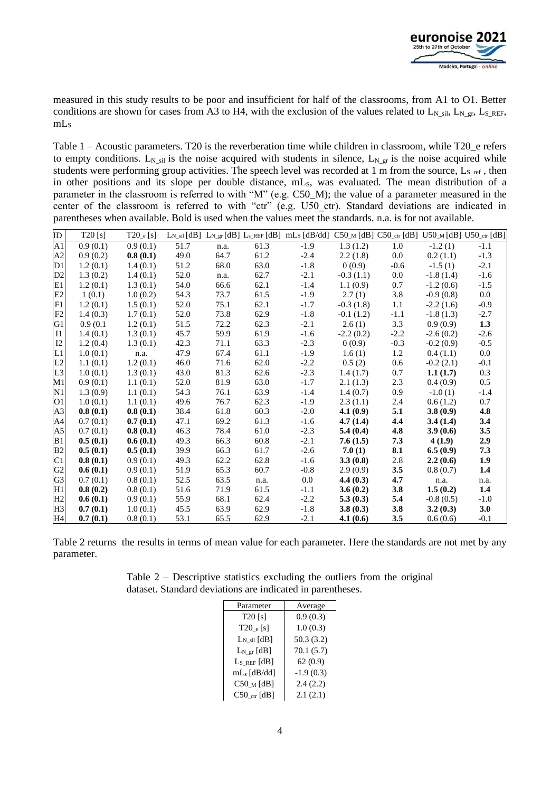

measured in this study results to be poor and insufficient for half of the classrooms, from A1 to O1. Better conditions are shown for cases from A3 to H4, with the exclusion of the values related to L<sub>N sil</sub>, L<sub>N gr</sub>, L<sub>S</sub> REF, mLS.

Table 1 – Acoustic parameters. T20 is the reverberation time while children in classroom, while T20\_e refers to empty conditions. L<sub>N sil</sub> is the noise acquired with students in silence, L<sub>N gr</sub> is the noise acquired while students were performing group activities. The speech level was recorded at 1  $\overline{m}$  from the source, L<sub>S ref</sub>, then in other positions and its slope per double distance, mLs, was evaluated. The mean distribution of a parameter in the classroom is referred to with "M" (e.g. C50\_M); the value of a parameter measured in the center of the classroom is referred to with "ctr" (e.g. U50 ctr). Standard deviations are indicated in parentheses when available. Bold is used when the values meet the standards. n.a. is for not available.

| ID             | $T20$ [s] | $T20_e [s]$ |      |      |      | $L_{N\_sil}$ [dB] $L_{N\_gr}$ [dB] $L_{s\_REF}$ [dB] $mL_s$ [dB/dd] $C50_M$ [dB] $C50_{\text{ctr}}$ [dB] $U50_M$ [dB] $U50_{\text{ctr}}$ [dB] |             |                  |             |        |
|----------------|-----------|-------------|------|------|------|-----------------------------------------------------------------------------------------------------------------------------------------------|-------------|------------------|-------------|--------|
| A1             | 0.9(0.1)  | 0.9(0.1)    | 51.7 | n.a. | 61.3 | $-1.9$                                                                                                                                        | 1.3(1.2)    | 1.0              | $-1.2(1)$   | $-1.1$ |
| A2             | 0.9(0.2)  | 0.8(0.1)    | 49.0 | 64.7 | 61.2 | $-2.4$                                                                                                                                        | 2.2(1.8)    | $0.0\,$          | 0.2(1.1)    | $-1.3$ |
| D1             | 1.2(0.1)  | 1.4(0.1)    | 51.2 | 68.0 | 63.0 | $-1.8$                                                                                                                                        | 0(0.9)      | $-0.6$           | $-1.5(1)$   | $-2.1$ |
| D2             | 1.3(0.2)  | 1.4(0.1)    | 52.0 | n.a. | 62.7 | $-2.1$                                                                                                                                        | $-0.3(1.1)$ | $0.0\,$          | $-1.8(1.4)$ | $-1.6$ |
| E1             | 1.2(0.1)  | 1.3(0.1)    | 54.0 | 66.6 | 62.1 | $-1.4$                                                                                                                                        | 1.1(0.9)    | 0.7              | $-1.2(0.6)$ | $-1.5$ |
| E2             | 1(0.1)    | 1.0(0.2)    | 54.3 | 73.7 | 61.5 | $-1.9$                                                                                                                                        | 2.7(1)      | 3.8              | $-0.9(0.8)$ | 0.0    |
| F1             | 1.2(0.1)  | 1.5(0.1)    | 52.0 | 75.1 | 62.1 | $-1.7$                                                                                                                                        | $-0.3(1.8)$ | 1.1              | $-2.2(1.6)$ | $-0.9$ |
| F2             | 1.4(0.3)  | 1.7(0.1)    | 52.0 | 73.8 | 62.9 | $-1.8$                                                                                                                                        | $-0.1(1.2)$ | $-1.1$           | $-1.8(1.3)$ | $-2.7$ |
| G1             | 0.9(0.1)  | 1.2(0.1)    | 51.5 | 72.2 | 62.3 | $-2.1$                                                                                                                                        | 2.6(1)      | 3.3              | 0.9(0.9)    | 1.3    |
| $_{\rm II}$    | 1.4(0.1)  | 1.3(0.1)    | 45.7 | 59.9 | 61.9 | $-1.6$                                                                                                                                        | $-2.2(0.2)$ | $-2.2$           | $-2.6(0.2)$ | $-2.6$ |
| I2             | 1.2(0.4)  | 1.3(0.1)    | 42.3 | 71.1 | 63.3 | $-2.3$                                                                                                                                        | 0(0.9)      | $-0.3$           | $-0.2(0.9)$ | $-0.5$ |
| L1             | 1.0(0.1)  | n.a.        | 47.9 | 67.4 | 61.1 | $-1.9$                                                                                                                                        | 1.6(1)      | 1.2              | 0.4(1.1)    | 0.0    |
| L2             | 1.1(0.1)  | 1.2(0.1)    | 46.0 | 71.6 | 62.0 | $-2.2$                                                                                                                                        | 0.5(2)      | 0.6              | $-0.2(2.1)$ | $-0.1$ |
| L <sub>3</sub> | 1.0(0.1)  | 1.3(0.1)    | 43.0 | 81.3 | 62.6 | $-2.3$                                                                                                                                        | 1.4(1.7)    | 0.7              | 1.1(1.7)    | 0.3    |
| M1             | 0.9(0.1)  | 1.1(0.1)    | 52.0 | 81.9 | 63.0 | $-1.7$                                                                                                                                        | 2.1(1.3)    | 2.3              | 0.4(0.9)    | 0.5    |
| N1             | 1.3(0.9)  | 1.1(0.1)    | 54.3 | 76.1 | 63.9 | $-1.4$                                                                                                                                        | 1.4(0.7)    | 0.9 <sub>0</sub> | $-1.0(1)$   | $-1.4$ |
| O <sub>1</sub> | 1.0(0.1)  | 1.1(0.1)    | 49.6 | 76.7 | 62.3 | $-1.9$                                                                                                                                        | 2.3(1.1)    | 2.4              | 0.6(1.2)    | 0.7    |
| A3             | 0.8(0.1)  | 0.8(0.1)    | 38.4 | 61.8 | 60.3 | $-2.0$                                                                                                                                        | 4.1(0.9)    | 5.1              | 3.8(0.9)    | 4.8    |
| A4             | 0.7(0.1)  | 0.7(0.1)    | 47.1 | 69.2 | 61.3 | $-1.6$                                                                                                                                        | 4.7(1.4)    | 4.4              | 3.4(1.4)    | 3.4    |
| A <sub>5</sub> | 0.7(0.1)  | 0.8(0.1)    | 46.3 | 78.4 | 61.0 | $-2.3$                                                                                                                                        | 5.4(0.4)    | 4.8              | 3.9(0.6)    | 3.5    |
| B1             | 0.5(0.1)  | 0.6(0.1)    | 49.3 | 66.3 | 60.8 | $-2.1$                                                                                                                                        | 7.6(1.5)    | 7.3              | 4(1.9)      | 2.9    |
| B2             | 0.5(0.1)  | 0.5(0.1)    | 39.9 | 66.3 | 61.7 | $-2.6$                                                                                                                                        | 7.0(1)      | 8.1              | 6.5(0.9)    | 7.3    |
| C1             | 0.8(0.1)  | 0.9(0.1)    | 49.3 | 62.2 | 62.8 | $-1.6$                                                                                                                                        | 3.3(0.8)    | 2.8              | 2.2(0.6)    | 1.9    |
| G2             | 0.6(0.1)  | 0.9(0.1)    | 51.9 | 65.3 | 60.7 | $-0.8$                                                                                                                                        | 2.9(0.9)    | 3.5              | 0.8(0.7)    | 1.4    |
| G <sub>3</sub> | 0.7(0.1)  | 0.8(0.1)    | 52.5 | 63.5 | n.a. | 0.0                                                                                                                                           | 4.4(0.3)    | 4.7              | n.a.        | n.a.   |
| H1             | 0.8(0.2)  | 0.8(0.1)    | 51.6 | 71.9 | 61.5 | $-1.1$                                                                                                                                        | 3.6(0.2)    | 3.8              | 1.5(0.2)    | 1.4    |
| H2             | 0.6(0.1)  | 0.9(0.1)    | 55.9 | 68.1 | 62.4 | $-2.2$                                                                                                                                        | 5.3(0.3)    | 5.4              | $-0.8(0.5)$ | $-1.0$ |
| H <sub>3</sub> | 0.7(0.1)  | 1.0(0.1)    | 45.5 | 63.9 | 62.9 | $-1.8$                                                                                                                                        | 3.8(0.3)    | 3.8              | 3.2(0.3)    | 3.0    |
| H4             | 0.7(0.1)  | 0.8(0.1)    | 53.1 | 65.5 | 62.9 | $-2.1$                                                                                                                                        | 4.1(0.6)    | 3.5              | 0.6(0.6)    | $-0.1$ |

Table 2 returns the results in terms of mean value for each parameter. Here the standards are not met by any parameter.

Table  $2$  – Descriptive statistics excluding the outliers from the original dataset. Standard deviations are indicated in parentheses.

| Parameter               | Average     |
|-------------------------|-------------|
| $T20$ [s]               | 0.9(0.3)    |
| T20 e[s]                | 1.0(0.3)    |
| $L_N$ sil $[dB]$        | 50.3(3.2)   |
| $L_N$ gr $[dB]$         | 70.1(5.7)   |
| $Ls$ ref $[dB]$         | 62(0.9)     |
| mL <sub>s</sub> [dB/dd] | $-1.9(0.3)$ |
| $C50_M$ [dB]            | 2.4(2.2)    |
| $C50_{ctr}$ [dB]        | 2.1(2.1)    |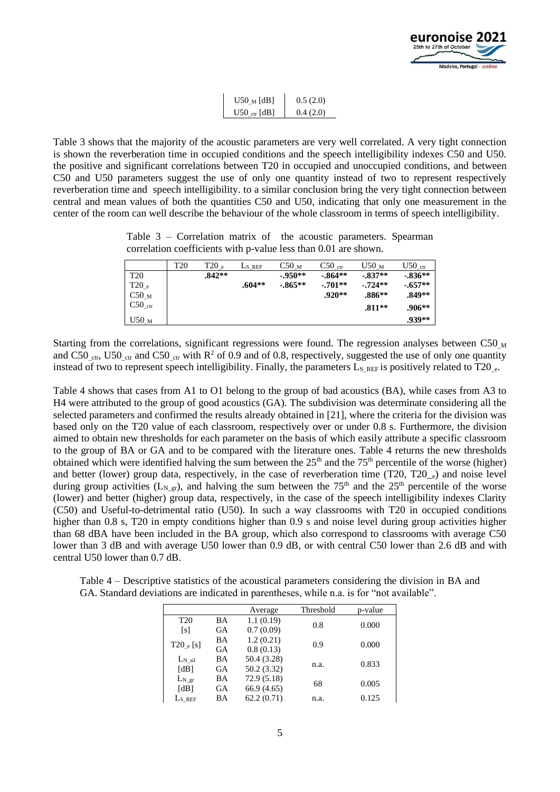

| $U50$ <sub>M</sub> [dB] | 0.5(2.0) |
|-------------------------|----------|
| $U50$ ctr [dB]          | 0.4(2.0) |

Table 3 shows that the majority of the acoustic parameters are very well correlated. A very tight connection is shown the reverberation time in occupied conditions and the speech intelligibility indexes C50 and U50. the positive and significant correlations between T20 in occupied and unoccupied conditions, and between C50 and U50 parameters suggest the use of only one quantity instead of two to represent respectively reverberation time and speech intelligibility. to a similar conclusion bring the very tight connection between central and mean values of both the quantities C50 and U50, indicating that only one measurement in the center of the room can well describe the behaviour of the whole classroom in terms of speech intelligibility.

Table 3 – Correlation matrix of the acoustic parameters. Spearman correlation coefficients with p-value less than 0.01 are shown.

|                    | T20 | $T20\,$ e | L <sub>S</sub> REF | C50 <sub>M</sub> | $C50_{\text{ctr}}$ | U50 <sub>M</sub> | $U50_{\text{ctr}}$ |
|--------------------|-----|-----------|--------------------|------------------|--------------------|------------------|--------------------|
| <b>T20</b>         |     | $.842**$  |                    | $-.950**$        | $-.864**$          | $-.837**$        | $-.836**$          |
| $T20_{\text{e}}$   |     |           | $.604**$           | $-.865**$        | $-.701**$          | $-.724**$        | $-.657**$          |
| C50 <sub>M</sub>   |     |           |                    |                  | $.920**$           | $.886**$         | .849**             |
| C50 <sub>ctr</sub> |     |           |                    |                  |                    | $.811**$         | .906**             |
| U50 <sub>M</sub>   |     |           |                    |                  |                    |                  | .939**             |

Starting from the correlations, significant regressions were found. The regression analyses between C50  $_M$ and C50 <sub>ctr</sub>, U50 <sub>ctr</sub> and C50 <sub>ctr</sub> with R<sup>2</sup> of 0.9 and of 0.8, respectively, suggested the use of only one quantity instead of two to represent speech intelligibility. Finally, the parameters  $L_s$  REF is positively related to T20  $_{e}$ .

Table 4 shows that cases from A1 to O1 belong to the group of bad acoustics (BA), while cases from A3 to H4 were attributed to the group of good acoustics (GA). The subdivision was determinate considering all the selected parameters and confirmed the results already obtained in [21], where the criteria for the division was based only on the T20 value of each classroom, respectively over or under 0.8 s. Furthermore, the division aimed to obtain new thresholds for each parameter on the basis of which easily attribute a specific classroom to the group of BA or GA and to be compared with the literature ones. Table 4 returns the new thresholds obtained which were identified halving the sum between the  $25<sup>th</sup>$  and the  $75<sup>th</sup>$  percentile of the worse (higher) and better (lower) group data, respectively, in the case of reverberation time (T20, T20 $_e$ ) and noise level during group activities ( $L_{N-gr}$ ), and halving the sum between the 75<sup>th</sup> and the 25<sup>th</sup> percentile of the worse (lower) and better (higher) group data, respectively, in the case of the speech intelligibility indexes Clarity (C50) and Useful-to-detrimental ratio (U50). In such a way classrooms with T20 in occupied conditions higher than 0.8 s, T20 in empty conditions higher than 0.9 s and noise level during group activities higher than 68 dBA have been included in the BA group, which also correspond to classrooms with average C50 lower than 3 dB and with average U50 lower than 0.9 dB, or with central C50 lower than 2.6 dB and with central U50 lower than 0.7 dB.

Table 4 – Descriptive statistics of the acoustical parameters considering the division in BA and GA. Standard deviations are indicated in parentheses, while n.a. is for "not available".

|             |    | Average     | Threshold | p-value |
|-------------|----|-------------|-----------|---------|
| <b>T20</b>  | BA | 1.1(0.19)   | 0.8       | 0.000   |
| [s]         | GA | 0.7(0.09)   |           |         |
| $T20_e[s]$  | BA | 1.2(0.21)   | 0.9       | 0.000   |
|             | GA | 0.8(0.13)   |           |         |
| $L_{N}$ sil | BA | 50.4 (3.28) | n.a.      | 0.833   |
| [dB]        | GА | 50.2 (3.32) |           |         |
| $L_N$ gr    | BA | 72.9(5.18)  | 68        | 0.005   |
| [dB]        | GA | 66.9(4.65)  |           |         |
| Ls ref      | BA | 62.2(0.71)  | n.a.      | 0.125   |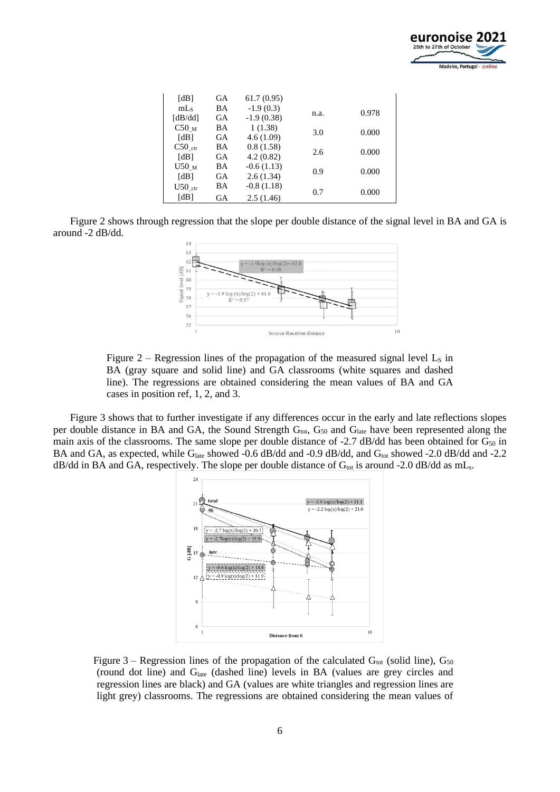

| [dB]               | GА | 61.7(0.95)   |      |       |
|--------------------|----|--------------|------|-------|
| mLs                | BA | $-1.9(0.3)$  |      | 0.978 |
| [dB/dd]            | GA | $-1.9(0.38)$ | n.a. |       |
| C50 <sub>M</sub>   | BA | 1(1.38)      | 3.0  | 0.000 |
| [dB]               | GА | 4.6(1.09)    |      |       |
| $C50_{\text{ctr}}$ | BA | 0.8(1.58)    | 2.6  | 0.000 |
| [dB]               | GА | 4.2(0.82)    |      |       |
| U50 <sub>M</sub>   | BA | $-0.6(1.13)$ | 0.9  | 0.000 |
| [dB]               | GA | 2.6(1.34)    |      |       |
| $U50_{\text{ctr}}$ | BA | $-0.8(1.18)$ |      |       |
| [dB]               | GА | 2.5(1.46)    | 0.7  | 0.000 |

Figure 2 shows through regression that the slope per double distance of the signal level in BA and GA is around -2 dB/dd.





Figure 3 shows that to further investigate if any differences occur in the early and late reflections slopes per double distance in BA and GA, the Sound Strength  $G<sub>tot</sub>$ ,  $G<sub>50</sub>$  and  $G<sub>late</sub>$  have been represented along the main axis of the classrooms. The same slope per double distance of -2.7 dB/dd has been obtained for  $G_{50}$  in BA and GA, as expected, while G<sub>late</sub> showed -0.6 dB/dd and -0.9 dB/dd, and G<sub>tot</sub> showed -2.0 dB/dd and -2.2  $dB/dd$  in BA and GA, respectively. The slope per double distance of  $G_{tot}$  is around -2.0 dB/dd as mL<sub>s</sub>.



Figure 3 – Regression lines of the propagation of the calculated  $G_{\text{tot}}$  (solid line),  $G_{50}$ (round dot line) and  $G<sub>late</sub>$  (dashed line) levels in BA (values are grey circles and regression lines are black) and GA (values are white triangles and regression lines are light grey) classrooms. The regressions are obtained considering the mean values of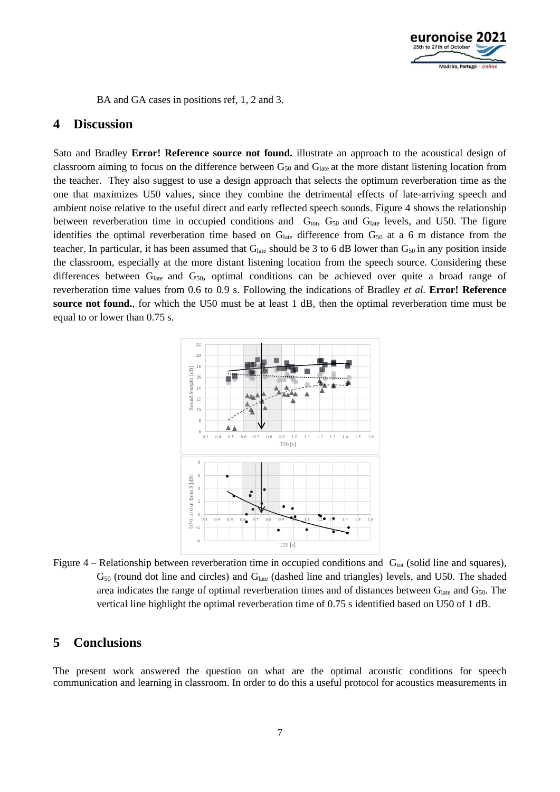

BA and GA cases in positions ref, 1, 2 and 3.

### **4 Discussion**

Sato and Bradley **Error! Reference source not found.** illustrate an approach to the acoustical design of classroom aiming to focus on the difference between G<sub>50</sub> and G<sub>late</sub> at the more distant listening location from the teacher. They also suggest to use a design approach that selects the optimum reverberation time as the one that maximizes U50 values, since they combine the detrimental effects of late-arriving speech and ambient noise relative to the useful direct and early reflected speech sounds. Figure 4 shows the relationship between reverberation time in occupied conditions and  $G<sub>tot</sub>$ ,  $G<sub>50</sub>$  and  $G<sub>late</sub>$  levels, and U50. The figure identifies the optimal reverberation time based on G<sub>late</sub> difference from G<sub>50</sub> at a 6 m distance from the teacher. In particular, it has been assumed that  $G<sub>late</sub>$  should be 3 to 6 dB lower than  $G<sub>50</sub>$  in any position inside the classroom, especially at the more distant listening location from the speech source. Considering these differences between  $G<sub>late</sub>$  and  $G<sub>50</sub>$ , optimal conditions can be achieved over quite a broad range of reverberation time values from 0.6 to 0.9 s. Following the indications of Bradley *et al.* **Error! Reference source not found.**, for which the U50 must be at least 1 dB, then the optimal reverberation time must be equal to or lower than 0.75 s.



Figure 4 – Relationship between reverberation time in occupied conditions and  $G_{tot}$  (solid line and squares),  $G<sub>50</sub>$  (round dot line and circles) and  $G<sub>late</sub>$  (dashed line and triangles) levels, and U50. The shaded area indicates the range of optimal reverberation times and of distances between G<sub>late</sub> and G<sub>50</sub>. The vertical line highlight the optimal reverberation time of 0.75 s identified based on U50 of 1 dB.

### **5 Conclusions**

The present work answered the question on what are the optimal acoustic conditions for speech communication and learning in classroom. In order to do this a useful protocol for acoustics measurements in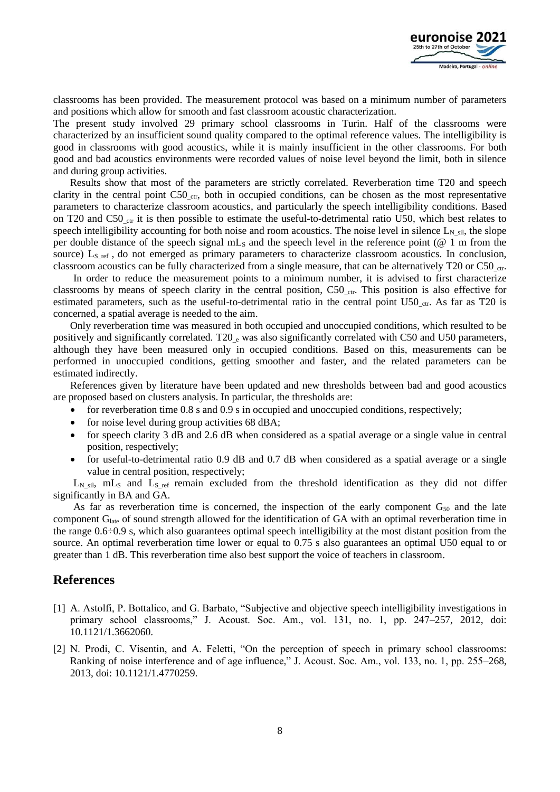

classrooms has been provided. The measurement protocol was based on a minimum number of parameters and positions which allow for smooth and fast classroom acoustic characterization.

The present study involved 29 primary school classrooms in Turin. Half of the classrooms were characterized by an insufficient sound quality compared to the optimal reference values. The intelligibility is good in classrooms with good acoustics, while it is mainly insufficient in the other classrooms. For both good and bad acoustics environments were recorded values of noise level beyond the limit, both in silence and during group activities.

Results show that most of the parameters are strictly correlated. Reverberation time T20 and speech clarity in the central point C50  $_{\text{ctr}}$ , both in occupied conditions, can be chosen as the most representative parameters to characterize classroom acoustics, and particularly the speech intelligibility conditions. Based on T20 and C50  $_{\rm cr}$  it is then possible to estimate the useful-to-detrimental ratio U50, which best relates to speech intelligibility accounting for both noise and room acoustics. The noise level in silence  $L_{N_s}$ <sub>sil</sub>, the slope per double distance of the speech signal  $mL_s$  and the speech level in the reference point ( $@1$  m from the source) L<sub>S ref</sub>, do not emerged as primary parameters to characterize classroom acoustics. In conclusion, classroom acoustics can be fully characterized from a single measure, that can be alternatively T20 or C50\_ctr.

In order to reduce the measurement points to a minimum number, it is advised to first characterize classrooms by means of speech clarity in the central position, C50 $_{\text{ctr}}$ . This position is also effective for estimated parameters, such as the useful-to-detrimental ratio in the central point U50 ctr. As far as T20 is concerned, a spatial average is needed to the aim.

Only reverberation time was measured in both occupied and unoccupied conditions, which resulted to be positively and significantly correlated. T20  $_e$  was also significantly correlated with C50 and U50 parameters, although they have been measured only in occupied conditions. Based on this, measurements can be performed in unoccupied conditions, getting smoother and faster, and the related parameters can be estimated indirectly.

References given by literature have been updated and new thresholds between bad and good acoustics are proposed based on clusters analysis. In particular, the thresholds are:

- for reverberation time 0.8 s and 0.9 s in occupied and unoccupied conditions, respectively;
- for noise level during group activities 68 dBA;
- for speech clarity 3 dB and 2.6 dB when considered as a spatial average or a single value in central position, respectively;
- for useful-to-detrimental ratio 0.9 dB and 0.7 dB when considered as a spatial average or a single value in central position, respectively;

 $L_N$ <sub>sil</sub>, mL<sub>S</sub> and  $L_S$ <sub>ref</sub> remain excluded from the threshold identification as they did not differ significantly in BA and GA.

As far as reverberation time is concerned, the inspection of the early component  $G_{50}$  and the late component Glate of sound strength allowed for the identification of GA with an optimal reverberation time in the range 0.6÷0.9 s, which also guarantees optimal speech intelligibility at the most distant position from the source. An optimal reverberation time lower or equal to 0.75 s also guarantees an optimal U50 equal to or greater than 1 dB. This reverberation time also best support the voice of teachers in classroom.

#### **References**

- [1] A. Astolfi, P. Bottalico, and G. Barbato, "Subjective and objective speech intelligibility investigations in primary school classrooms," J. Acoust. Soc. Am., vol. 131, no. 1, pp. 247–257, 2012, doi: 10.1121/1.3662060.
- [2] N. Prodi, C. Visentin, and A. Feletti, "On the perception of speech in primary school classrooms: Ranking of noise interference and of age influence," J. Acoust. Soc. Am., vol. 133, no. 1, pp. 255–268, 2013, doi: 10.1121/1.4770259.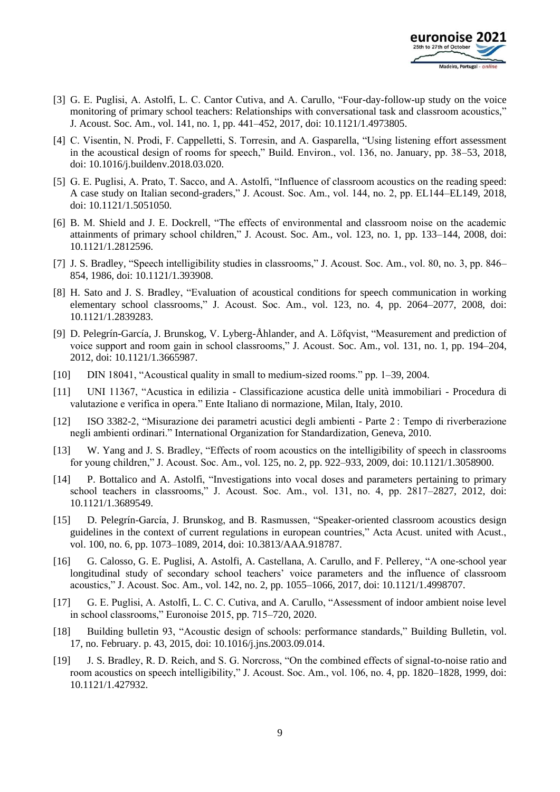

- [3] G. E. Puglisi, A. Astolfi, L. C. Cantor Cutiva, and A. Carullo, "Four-day-follow-up study on the voice monitoring of primary school teachers: Relationships with conversational task and classroom acoustics," J. Acoust. Soc. Am., vol. 141, no. 1, pp. 441–452, 2017, doi: 10.1121/1.4973805.
- [4] C. Visentin, N. Prodi, F. Cappelletti, S. Torresin, and A. Gasparella, "Using listening effort assessment in the acoustical design of rooms for speech," Build. Environ., vol. 136, no. January, pp. 38–53, 2018, doi: 10.1016/j.buildenv.2018.03.020.
- [5] G. E. Puglisi, A. Prato, T. Sacco, and A. Astolfi, "Influence of classroom acoustics on the reading speed: A case study on Italian second-graders," J. Acoust. Soc. Am., vol. 144, no. 2, pp. EL144–EL149, 2018, doi: 10.1121/1.5051050.
- [6] B. M. Shield and J. E. Dockrell, "The effects of environmental and classroom noise on the academic attainments of primary school children," J. Acoust. Soc. Am., vol. 123, no. 1, pp. 133–144, 2008, doi: 10.1121/1.2812596.
- [7] J. S. Bradley, "Speech intelligibility studies in classrooms," J. Acoust. Soc. Am., vol. 80, no. 3, pp. 846– 854, 1986, doi: 10.1121/1.393908.
- [8] H. Sato and J. S. Bradley, "Evaluation of acoustical conditions for speech communication in working elementary school classrooms," J. Acoust. Soc. Am., vol. 123, no. 4, pp. 2064–2077, 2008, doi: 10.1121/1.2839283.
- [9] D. Pelegrín-García, J. Brunskog, V. Lyberg-Åhlander, and A. Löfqvist, "Measurement and prediction of voice support and room gain in school classrooms," J. Acoust. Soc. Am., vol. 131, no. 1, pp. 194–204, 2012, doi: 10.1121/1.3665987.
- [10] DIN 18041, "Acoustical quality in small to medium-sized rooms." pp. 1–39, 2004.
- [11] UNI 11367, "Acustica in edilizia Classificazione acustica delle unità immobiliari Procedura di valutazione e verifica in opera." Ente Italiano di normazione, Milan, Italy, 2010.
- [12] ISO 3382-2, "Misurazione dei parametri acustici degli ambienti Parte 2 : Tempo di riverberazione negli ambienti ordinari." International Organization for Standardization, Geneva, 2010.
- [13] W. Yang and J. S. Bradley, "Effects of room acoustics on the intelligibility of speech in classrooms for young children," J. Acoust. Soc. Am., vol. 125, no. 2, pp. 922–933, 2009, doi: 10.1121/1.3058900.
- [14] P. Bottalico and A. Astolfi, "Investigations into vocal doses and parameters pertaining to primary school teachers in classrooms," J. Acoust. Soc. Am., vol. 131, no. 4, pp. 2817–2827, 2012, doi: 10.1121/1.3689549.
- [15] D. Pelegrín-García, J. Brunskog, and B. Rasmussen, "Speaker-oriented classroom acoustics design guidelines in the context of current regulations in european countries," Acta Acust. united with Acust., vol. 100, no. 6, pp. 1073–1089, 2014, doi: 10.3813/AAA.918787.
- [16] G. Calosso, G. E. Puglisi, A. Astolfi, A. Castellana, A. Carullo, and F. Pellerey, "A one-school year longitudinal study of secondary school teachers' voice parameters and the influence of classroom acoustics," J. Acoust. Soc. Am., vol. 142, no. 2, pp. 1055–1066, 2017, doi: 10.1121/1.4998707.
- [17] G. E. Puglisi, A. Astolfi, L. C. C. Cutiva, and A. Carullo, "Assessment of indoor ambient noise level in school classrooms," Euronoise 2015, pp. 715–720, 2020.
- [18] Building bulletin 93, "Acoustic design of schools: performance standards," Building Bulletin, vol. 17, no. February. p. 43, 2015, doi: 10.1016/j.jns.2003.09.014.
- [19] J. S. Bradley, R. D. Reich, and S. G. Norcross, "On the combined effects of signal-to-noise ratio and room acoustics on speech intelligibility," J. Acoust. Soc. Am., vol. 106, no. 4, pp. 1820–1828, 1999, doi: 10.1121/1.427932.